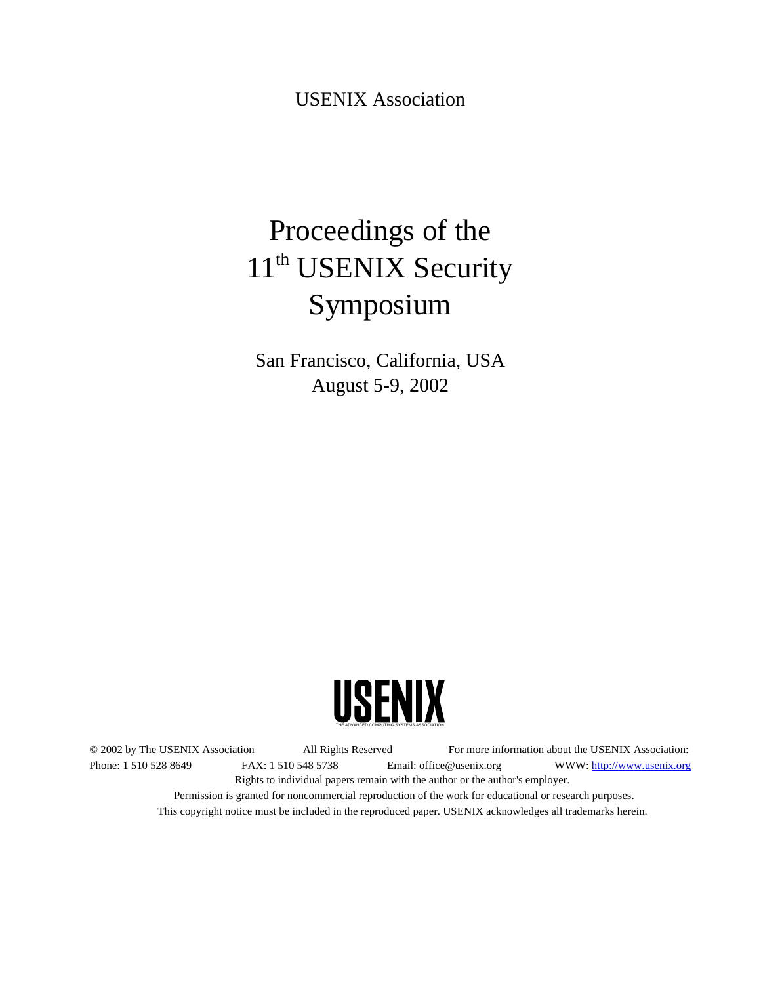USENIX Association

# Proceedings of the 11<sup>th</sup> USENIX Security Symposium

San Francisco, California, USA August 5-9, 2002



© 2002 by The USENIX Association All Rights Reserved For more information about the USENIX Association: Phone: 1 510 528 8649 FAX: 1 510 548 5738 Email: office@usenix.org WWW: http://www.usenix.org Rights to individual papers remain with the author or the author's employer. Permission is granted for noncommercial reproduction of the work for educational or research purposes. This copyright notice must be included in the reproduced paper. USENIX acknowledges all trademarks herein.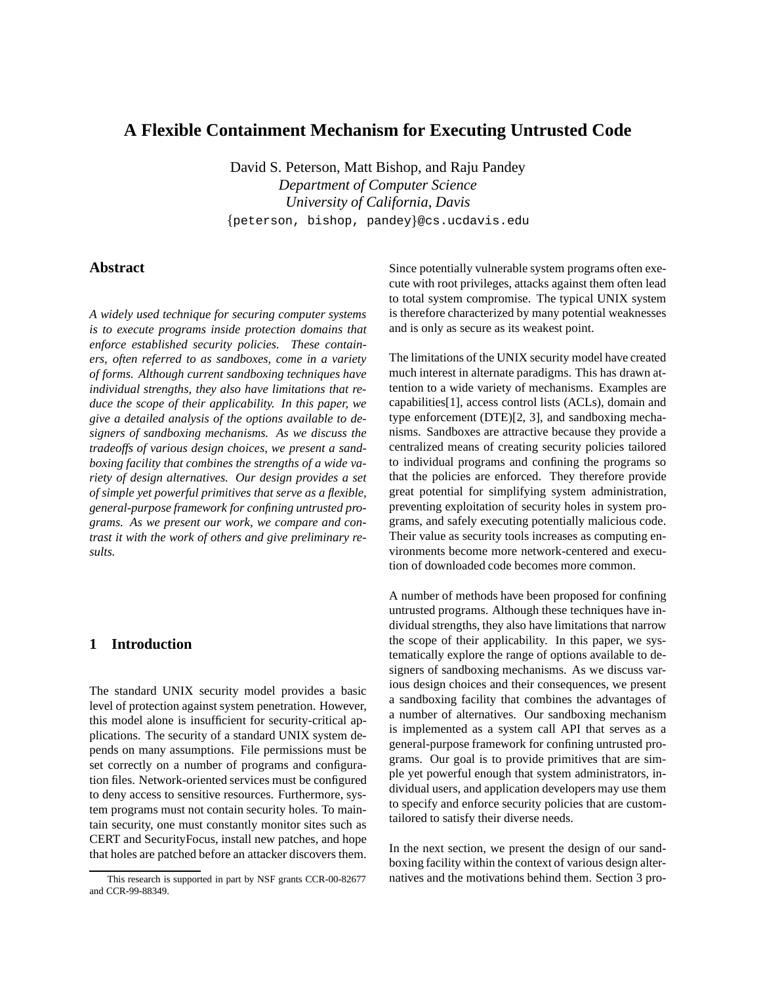# **A Flexible Containment Mechanism for Executing Untrusted Code**

David S. Peterson, Matt Bishop, and Raju Pandey *Department of Computer Science University of California, Davis* peterson, bishop, pandey @cs.ucdavis.edu

# **Abstract**

*A widely used technique for securing computer systems is to execute programs inside protection domains that enforce established security policies. These containers, often referred to as sandboxes, come in a variety of forms. Although current sandboxing techniques have individual strengths, they also have limitations that reduce the scope of their applicability. In this paper, we give a detailed analysis of the options available to designers of sandboxing mechanisms. As we discuss the tradeoffs of various design choices, we present a sandboxing facility that combines the strengths of a wide variety of design alternatives. Our design provides a set of simple yet powerful primitives that serve as a flexible, general-purpose framework for confining untrusted programs. As we present our work, we compare and contrast it with the work of others and give preliminary results.*

# **1 Introduction**

The standard UNIX security model provides a basic level of protection against system penetration. However, this model alone is insufficient for security-critical applications. The security of a standard UNIX system depends on many assumptions. File permissions must be set correctly on a number of programs and configuration files. Network-oriented services must be configured to deny access to sensitive resources. Furthermore, system programs must not contain security holes. To maintain security, one must constantly monitor sites such as CERT and SecurityFocus, install new patches, and hope that holes are patched before an attacker discovers them.

Since potentially vulnerable system programs often execute with root privileges, attacks against them often lead to total system compromise. The typical UNIX system is therefore characterized by many potential weaknesses and is only as secure as its weakest point.

The limitations of the UNIX security model have created much interest in alternate paradigms. This has drawn attention to a wide variety of mechanisms. Examples are capabilities[1], access control lists (ACLs), domain and type enforcement (DTE)[2, 3], and sandboxing mechanisms. Sandboxes are attractive because they provide a centralized means of creating security policies tailored to individual programs and confining the programs so that the policies are enforced. They therefore provide great potential for simplifying system administration, preventing exploitation of security holes in system programs, and safely executing potentially malicious code. Their value as security tools increases as computing environments become more network-centered and execution of downloaded code becomes more common.

A number of methods have been proposed for confining untrusted programs. Although these techniques have individual strengths, they also have limitations that narrow the scope of their applicability. In this paper, we systematically explore the range of options available to designers of sandboxing mechanisms. As we discuss various design choices and their consequences, we present a sandboxing facility that combines the advantages of a number of alternatives. Our sandboxing mechanism is implemented as a system call API that serves as a general-purpose framework for confining untrusted programs. Our goal is to provide primitives that are simple yet powerful enough that system administrators, individual users, and application developers may use them to specify and enforce security policies that are customtailored to satisfy their diverse needs.

In the next section, we present the design of our sandboxing facility within the context of various design alternatives and the motivations behind them. Section 3 pro-

This research is supported in part by NSF grants CCR-00-82677 and CCR-99-88349.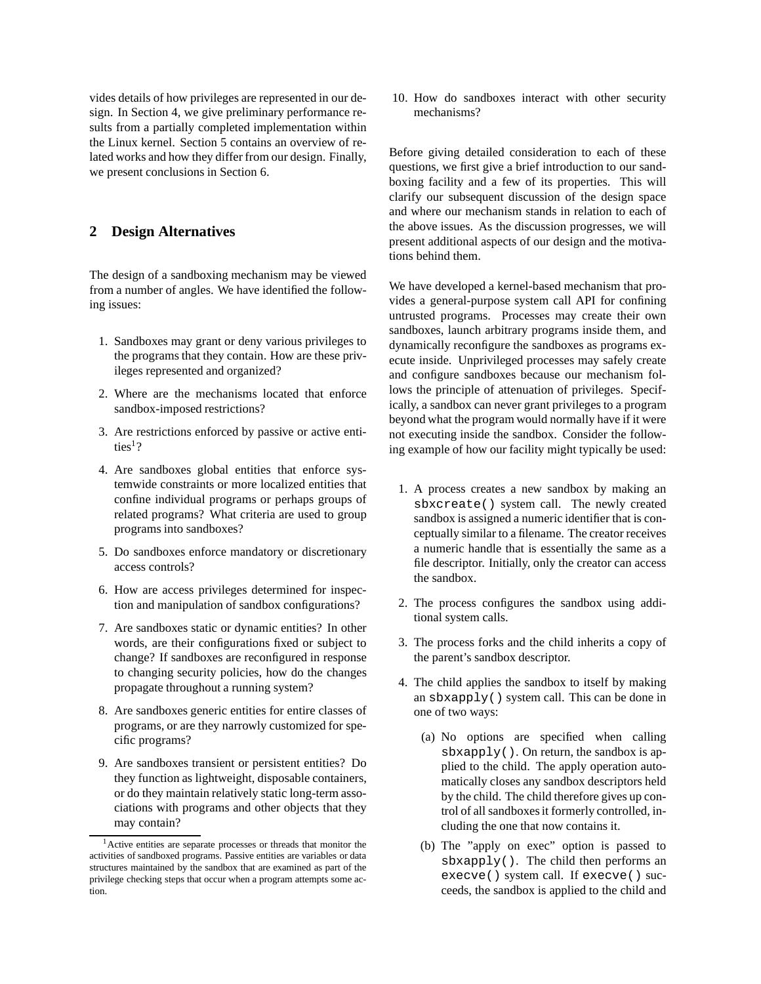vides details of how privileges are represented in our design. In Section 4, we give preliminary performance results from a partially completed implementation within the Linux kernel. Section 5 contains an overview of related works and how they differ from our design. Finally, we present conclusions in Section 6.

# **2 Design Alternatives**

The design of a sandboxing mechanism may be viewed from a number of angles. We have identified the following issues:

- 1. Sandboxes may grant or deny various privileges to the programs that they contain. How are these privileges represented and organized?
- 2. Where are the mechanisms located that enforce sandbox-imposed restrictions?
- 3. Are restrictions enforced by passive or active entities<sup>1</sup>?
- 4. Are sandboxes global entities that enforce systemwide constraints or more localized entities that confine individual programs or perhaps groups of related programs? What criteria are used to group programs into sandboxes?
- 5. Do sandboxes enforce mandatory or discretionary access controls?
- 6. How are access privileges determined for inspection and manipulation of sandbox configurations?
- 7. Are sandboxes static or dynamic entities? In other words, are their configurations fixed or subject to change? If sandboxes are reconfigured in response to changing security policies, how do the changes propagate throughout a running system?
- 8. Are sandboxes generic entities for entire classes of programs, or are they narrowly customized for specific programs?
- 9. Are sandboxes transient or persistent entities? Do they function as lightweight, disposable containers, or do they maintain relatively static long-term associations with programs and other objects that they may contain?

10. How do sandboxes interact with other security mechanisms?

Before giving detailed consideration to each of these questions, we first give a brief introduction to our sandboxing facility and a few of its properties. This will clarify our subsequent discussion of the design space and where our mechanism stands in relation to each of the above issues. As the discussion progresses, we will present additional aspects of our design and the motivations behind them.

We have developed a kernel-based mechanism that provides a general-purpose system call API for confining untrusted programs. Processes may create their own sandboxes, launch arbitrary programs inside them, and dynamically reconfigure the sandboxes as programs execute inside. Unprivileged processes may safely create and configure sandboxes because our mechanism follows the principle of attenuation of privileges. Specifically, a sandbox can never grant privileges to a program beyond what the program would normally have if it were not executing inside the sandbox. Consider the following example of how our facility might typically be used:

- 1. A process creates a new sandbox by making an sbxcreate() system call. The newly created sandbox is assigned a numeric identifier that is conceptually similar to a filename. The creator receives a numeric handle that is essentially the same as a file descriptor. Initially, only the creator can access the sandbox.
- 2. The process configures the sandbox using additional system calls.
- 3. The process forks and the child inherits a copy of the parent's sandbox descriptor.
- 4. The child applies the sandbox to itself by making an sbxapply() system call. This can be done in one of two ways:
	- (a) No options are specified when calling sbxapply(). On return, the sandbox is applied to the child. The apply operation automatically closes any sandbox descriptors held by the child. The child therefore gives up control of all sandboxes it formerly controlled, including the one that now contains it.
	- (b) The "apply on exec" option is passed to sbxapply(). The child then performs an execve() system call. If execve() succeeds, the sandbox is applied to the child and

<sup>1</sup>Active entities are separate processes or threads that monitor the activities of sandboxed programs. Passive entities are variables or data structures maintained by the sandbox that are examined as part of the privilege checking steps that occur when a program attempts some action.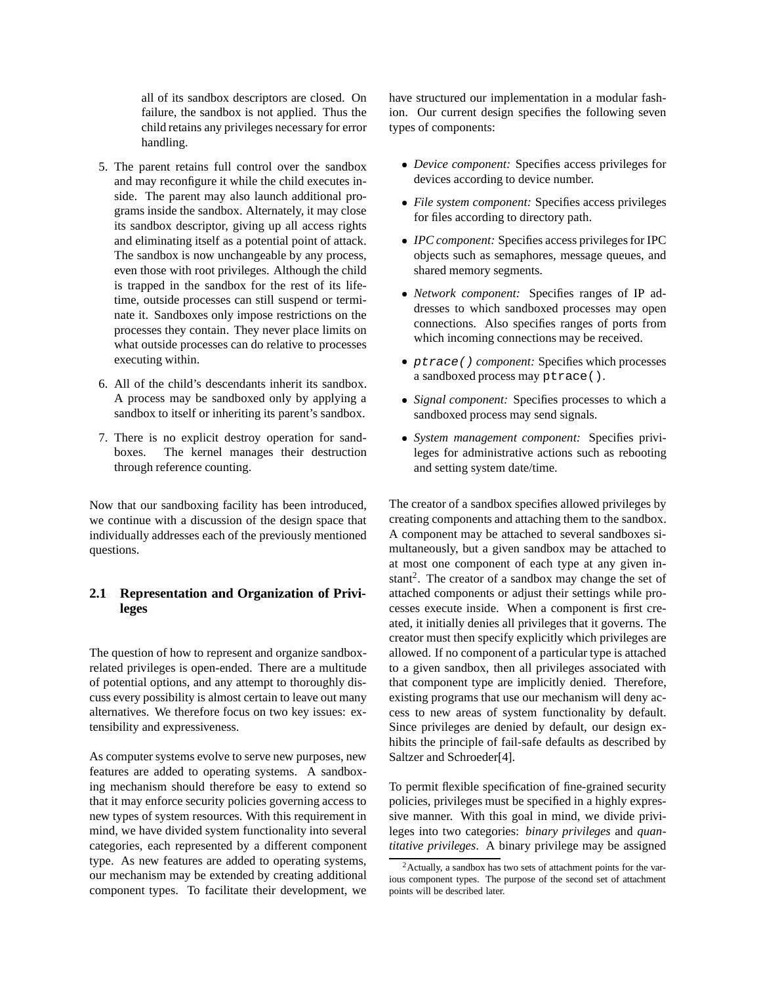all of its sandbox descriptors are closed. On failure, the sandbox is not applied. Thus the child retains any privileges necessary for error handling.

- 5. The parent retains full control over the sandbox and may reconfigure it while the child executes inside. The parent may also launch additional programs inside the sandbox. Alternately, it may close its sandbox descriptor, giving up all access rights and eliminating itself as a potential point of attack. The sandbox is now unchangeable by any process, even those with root privileges. Although the child is trapped in the sandbox for the rest of its lifetime, outside processes can still suspend or terminate it. Sandboxes only impose restrictions on the processes they contain. They never place limits on what outside processes can do relative to processes executing within.
- 6. All of the child's descendants inherit its sandbox. A process may be sandboxed only by applying a sandbox to itself or inheriting its parent's sandbox.
- 7. There is no explicit destroy operation for sandboxes. The kernel manages their destruction through reference counting.

Now that our sandboxing facility has been introduced, we continue with a discussion of the design space that individually addresses each of the previously mentioned questions.

# **2.1 Representation and Organization of Privileges**

The question of how to represent and organize sandboxrelated privileges is open-ended. There are a multitude of potential options, and any attempt to thoroughly discuss every possibility is almost certain to leave out many alternatives. We therefore focus on two key issues: extensibility and expressiveness.

As computer systems evolve to serve new purposes, new features are added to operating systems. A sandboxing mechanism should therefore be easy to extend so that it may enforce security policies governing access to new types of system resources. With this requirement in mind, we have divided system functionality into several categories, each represented by a different component type. As new features are added to operating systems, our mechanism may be extended by creating additional component types. To facilitate their development, we

have structured our implementation in a modular fashion. Our current design specifies the following seven types of components:

- *Device component:* Specifies access privileges for devices according to device number.
- *File system component:* Specifies access privileges for files according to directory path.
- *IPC component:* Specifies access privilegesfor IPC objects such as semaphores, message queues, and shared memory segments.
- *Network component:* Specifies ranges of IP addresses to which sandboxed processes may open connections. Also specifies ranges of ports from which incoming connections may be received.
- ptrace() *component:* Specifies which processes a sandboxed process may ptrace().
- *Signal component:* Specifies processes to which a sandboxed process may send signals.
- *System management component:* Specifies privileges for administrative actions such as rebooting and setting system date/time.

The creator of a sandbox specifies allowed privileges by creating components and attaching them to the sandbox. A component may be attached to several sandboxes simultaneously, but a given sandbox may be attached to at most one component of each type at any given instant<sup>2</sup>. The creator of a sandbox may change the set of attached components or adjust their settings while processes execute inside. When a component is first created, it initially denies all privileges that it governs. The creator must then specify explicitly which privileges are allowed. If no component of a particular type is attached to a given sandbox, then all privileges associated with that component type are implicitly denied. Therefore, existing programs that use our mechanism will deny access to new areas of system functionality by default. Since privileges are denied by default, our design exhibits the principle of fail-safe defaults as described by Saltzer and Schroeder[4].

To permit flexible specification of fine-grained security policies, privileges must be specified in a highly expressive manner. With this goal in mind, we divide privileges into two categories: *binary privileges* and *quantitative privileges*. A binary privilege may be assigned

<sup>2</sup>Actually, a sandbox has two sets of attachment points for the various component types. The purpose of the second set of attachment points will be described later.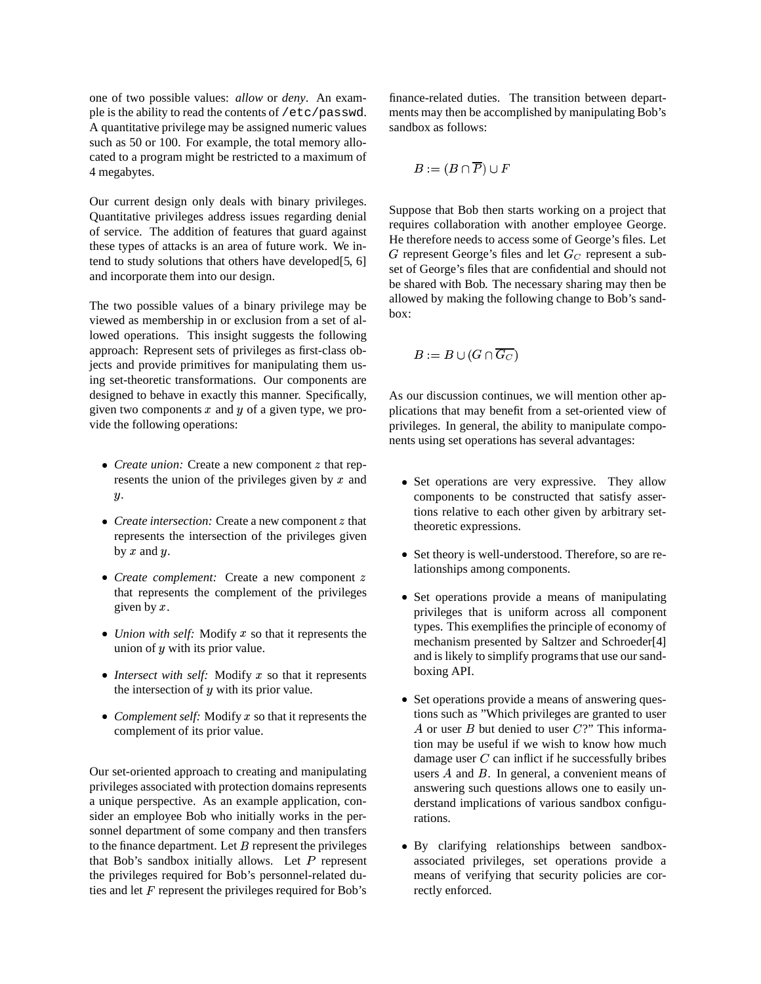one of two possible values: *allow* or *deny*. An example is the ability to read the contents of /etc/passwd. A quantitative privilege may be assigned numeric values such as 50 or 100. For example, the total memory allocated to a program might be restricted to a maximum of 4 megabytes.

Our current design only deals with binary privileges. Quantitative privileges address issues regarding denial of service. The addition of features that guard against these types of attacks is an area of future work. We intend to study solutions that others have developed[5, 6] and incorporate them into our design.

The two possible values of a binary privilege may be viewed as membership in or exclusion from a set of allowed operations. This insight suggests the following approach: Represent sets of privileges as first-class objects and provide primitives for manipulating them using set-theoretic transformations. Our components are designed to behave in exactly this manner. Specifically, given two components  $x$  and  $y$  of a given type, we provide the following operations:

- *Create union:* Create a new component *z* that represents the union of the privileges given by  $x$  and  $\boldsymbol{y}$ .
- *Create intersection:* Create a new component *z* that represents the intersection of the privileges given by  $x$  and  $y$ .
- *Create complement:* Create a new component z that represents the complement of the privileges given by  $x$ .
- Union with self: Modify x so that it represents the union of  $y$  with its prior value.
- *Intersect with self:* Modify x so that it represents the intersection of  $y$  with its prior value.
- Complement self: Modify x so that it represents the complement of its prior value.

Our set-oriented approach to creating and manipulating privileges associated with protection domains represents a unique perspective. As an example application, consider an employee Bob who initially works in the personnel department of some company and then transfers to the finance department. Let  $B$  represent the privileges that Bob's sandbox initially allows. Let  $P$  represent the privileges required for Bob's personnel-related duties and let  $F$  represent the privileges required for Bob's finance-related duties. The transition between departments may then be accomplished by manipulating Bob's sandbox as follows:

$$
B:=(B\cap\overline{P})\cup F
$$

Suppose that Bob then starts working on a project that requires collaboration with another employee George. He therefore needs to access some of George's files. Let G represent George's files and let  $G_C$  represent a subset of George's files that are confidential and should not be shared with Bob. The necessary sharing may then be allowed by making the following change to Bob's sandbox:

$$
B:=B\cup (G\cap \overline{G_C})
$$

As our discussion continues, we will mention other applications that may benefit from a set-oriented view of privileges. In general, the ability to manipulate components using set operations has several advantages:

- Set operations are very expressive. They allow components to be constructed that satisfy assertions relative to each other given by arbitrary settheoretic expressions.
- Set theory is well-understood. Therefore, so are relationships among components.
- Set operations provide a means of manipulating privileges that is uniform across all component types. This exemplifies the principle of economy of mechanism presented by Saltzer and Schroeder[4] and is likely to simplify programs that use our sandboxing API.
- Set operations provide a means of answering questions such as "Which privileges are granted to user A or user  $B$  but denied to user  $C$ ?" This information may be useful if we wish to know how much damage user  $C$  can inflict if he successfully bribes users  $A$  and  $B$ . In general, a convenient means of answering such questions allows one to easily understand implications of various sandbox configurations.
- By clarifying relationships between sandboxassociated privileges, set operations provide a means of verifying that security policies are correctly enforced.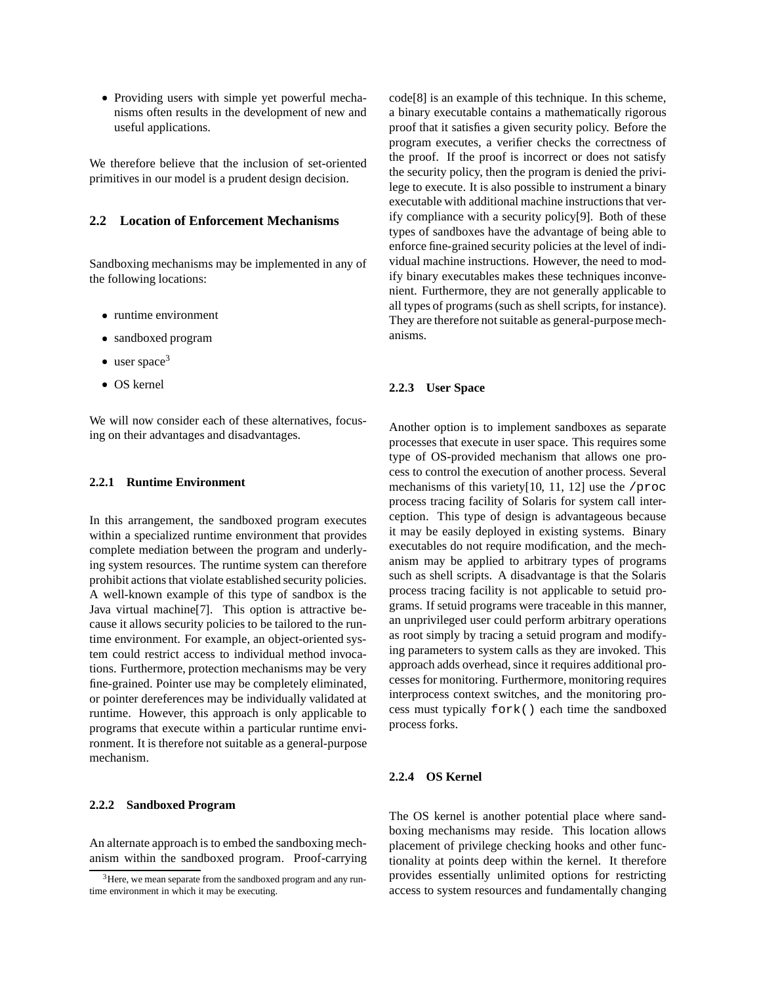-Providing users with simple yet powerful mechanisms often results in the development of new and useful applications.

We therefore believe that the inclusion of set-oriented primitives in our model is a prudent design decision.

#### **2.2 Location of Enforcement Mechanisms**

Sandboxing mechanisms may be implemented in any of the following locations:

- runtime environment
- sandboxed program
- $\bullet$  user space<sup>3</sup>
- OS kernel

We will now consider each of these alternatives, focusing on their advantages and disadvantages.

#### **2.2.1 Runtime Environment**

In this arrangement, the sandboxed program executes within a specialized runtime environment that provides complete mediation between the program and underlying system resources. The runtime system can therefore prohibit actions that violate established security policies. A well-known example of this type of sandbox is the Java virtual machine[7]. This option is attractive because it allows security policies to be tailored to the runtime environment. For example, an object-oriented system could restrict access to individual method invocations. Furthermore, protection mechanisms may be very fine-grained. Pointer use may be completely eliminated, or pointer dereferences may be individually validated at runtime. However, this approach is only applicable to programs that execute within a particular runtime environment. It is therefore not suitable as a general-purpose mechanism.

#### **2.2.2 Sandboxed Program**

An alternate approach is to embed the sandboxing mechanism within the sandboxed program. Proof-carrying code[8] is an example of this technique. In this scheme, a binary executable contains a mathematically rigorous proof that it satisfies a given security policy. Before the program executes, a verifier checks the correctness of the proof. If the proof is incorrect or does not satisfy the security policy, then the program is denied the privilege to execute. It is also possible to instrument a binary executable with additional machine instructions that verify compliance with a security policy[9]. Both of these types of sandboxes have the advantage of being able to enforce fine-grained security policies at the level of individual machine instructions. However, the need to modify binary executables makes these techniques inconvenient. Furthermore, they are not generally applicable to all types of programs(such as shell scripts, for instance). They are therefore not suitable as general-purpose mechanisms.

#### **2.2.3 User Space**

Another option is to implement sandboxes as separate processes that execute in user space. This requires some type of OS-provided mechanism that allows one process to control the execution of another process. Several mechanisms of this variety[10, 11, 12] use the /proc process tracing facility of Solaris for system call interception. This type of design is advantageous because it may be easily deployed in existing systems. Binary executables do not require modification, and the mechanism may be applied to arbitrary types of programs such as shell scripts. A disadvantage is that the Solaris process tracing facility is not applicable to setuid programs. If setuid programs were traceable in this manner, an unprivileged user could perform arbitrary operations as root simply by tracing a setuid program and modifying parameters to system calls as they are invoked. This approach adds overhead, since it requires additional processes for monitoring. Furthermore, monitoring requires interprocess context switches, and the monitoring process must typically fork() each time the sandboxed process forks.

#### **2.2.4 OS Kernel**

The OS kernel is another potential place where sandboxing mechanisms may reside. This location allows placement of privilege checking hooks and other functionality at points deep within the kernel. It therefore provides essentially unlimited options for restricting access to system resources and fundamentally changing

<sup>&</sup>lt;sup>3</sup>Here, we mean separate from the sandboxed program and any runtime environment in which it may be executing.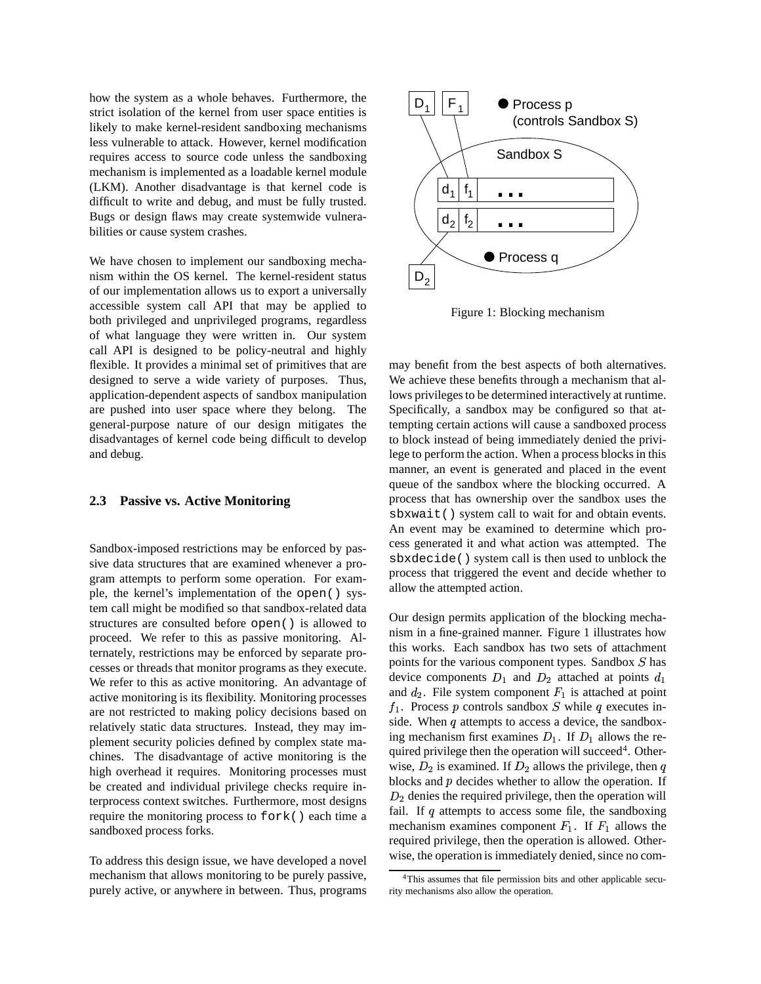how the system as a whole behaves. Furthermore, the strict isolation of the kernel from user space entities is likely to make kernel-resident sandboxing mechanisms less vulnerable to attack. However, kernel modification requires access to source code unless the sandboxing mechanism is implemented as a loadable kernel module (LKM). Another disadvantage is that kernel code is difficult to write and debug, and must be fully trusted. Bugs or design flaws may create systemwide vulnerabilities or cause system crashes.

We have chosen to implement our sandboxing mechanism within the OS kernel. The kernel-resident status of our implementation allows us to export a universally accessible system call API that may be applied to both privileged and unprivileged programs, regardless of what language they were written in. Our system call API is designed to be policy-neutral and highly flexible. It provides a minimal set of primitives that are designed to serve a wide variety of purposes. Thus, application-dependent aspects of sandbox manipulation are pushed into user space where they belong. The general-purpose nature of our design mitigates the disadvantages of kernel code being difficult to develop and debug.

#### **2.3 Passive vs. Active Monitoring**

Sandbox-imposed restrictions may be enforced by passive data structures that are examined whenever a program attempts to perform some operation. For example, the kernel's implementation of the open() system call might be modified so that sandbox-related data structures are consulted before open() is allowed to proceed. We refer to this as passive monitoring. Alternately, restrictions may be enforced by separate processes or threads that monitor programs as they execute. We refer to this as active monitoring. An advantage of active monitoring is its flexibility. Monitoring processes are not restricted to making policy decisions based on relatively static data structures. Instead, they may implement security policies defined by complex state machines. The disadvantage of active monitoring is the high overhead it requires. Monitoring processes must be created and individual privilege checks require interprocess context switches. Furthermore, most designs require the monitoring process to fork() each time a sandboxed process forks.

To address this design issue, we have developed a novel mechanism that allows monitoring to be purely passive, purely active, or anywhere in between. Thus, programs



Figure 1: Blocking mechanism

may benefit from the best aspects of both alternatives. We achieve these benefits through a mechanism that allows privileges to be determined interactively at runtime. Specifically, a sandbox may be configured so that attempting certain actions will cause a sandboxed process to block instead of being immediately denied the privilege to perform the action. When a process blocks in this manner, an event is generated and placed in the event queue of the sandbox where the blocking occurred. A process that has ownership over the sandbox uses the sbxwait() system call to wait for and obtain events. An event may be examined to determine which process generated it and what action was attempted. The sbxdecide() system call is then used to unblock the process that triggered the event and decide whether to allow the attempted action.

Our design permits application of the blocking mechanism in a fine-grained manner. Figure 1 illustrates how this works. Each sandbox has two sets of attachment points for the various component types. Sandbox  $S$  has device components  $D_1$  and  $D_2$  attached at points  $d_1$ and  $d_2$ . File system component  $F_1$  is attached at point  $f_1$ . Process p controls sandbox S while q executes inside. When  $q$  attempts to access a device, the sandboxing mechanism first examines  $D_1$ . If  $D_1$  allows the required privilege then the operation will succeed<sup>4</sup>. Otherwise,  $D_2$  is examined. If  $D_2$  allows the privilege, then  $q$ blocks and  $p$  decides whether to allow the operation. If  $D_2$  denies the required privilege, then the operation will fail. If  $q$  attempts to access some file, the sandboxing mechanism examines component  $F_1$ . If  $F_1$  allows the required privilege, then the operation is allowed. Otherwise, the operation is immediately denied, since no com-

<sup>&</sup>lt;sup>4</sup>This assumes that file permission bits and other applicable security mechanisms also allow the operation.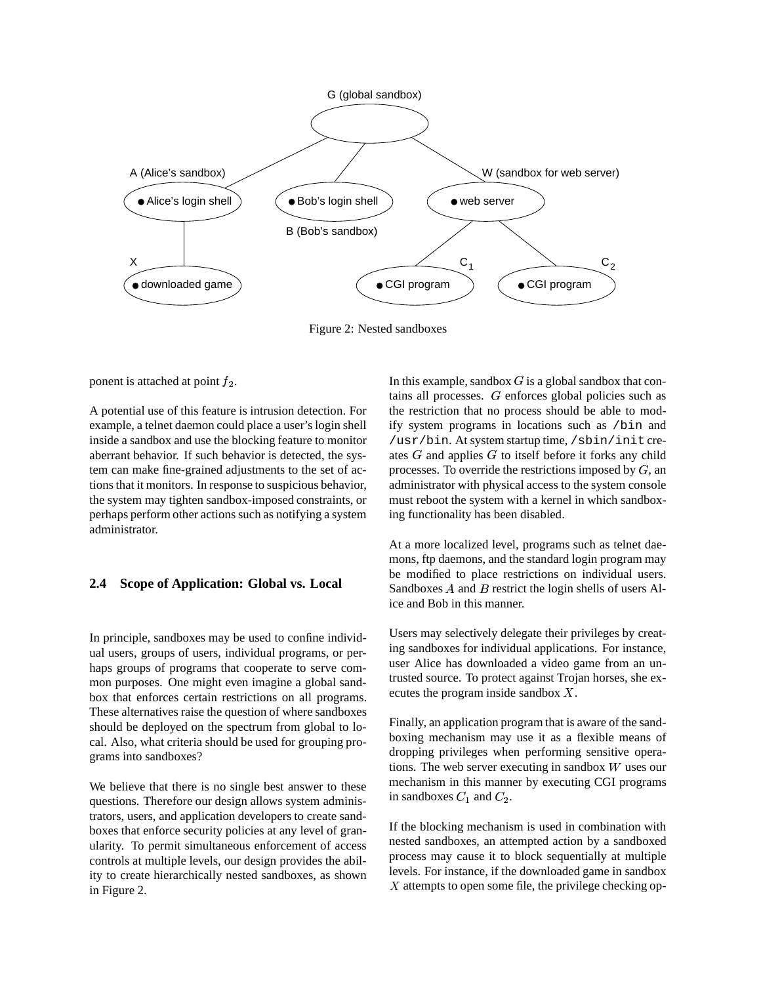

Figure 2: Nested sandboxes

ponent is attached at point  $f_2$ .

A potential use of this feature is intrusion detection. For example, a telnet daemon could place a user's login shell inside a sandbox and use the blocking feature to monitor aberrant behavior. If such behavior is detected, the system can make fine-grained adjustments to the set of actions that it monitors. In response to suspicious behavior, the system may tighten sandbox-imposed constraints, or perhaps perform other actions such as notifying a system administrator.

## **2.4 Scope of Application: Global vs. Local**

In principle, sandboxes may be used to confine individual users, groups of users, individual programs, or perhaps groups of programs that cooperate to serve common purposes. One might even imagine a global sandbox that enforces certain restrictions on all programs. These alternatives raise the question of where sandboxes should be deployed on the spectrum from global to local. Also, what criteria should be used for grouping programs into sandboxes?

We believe that there is no single best answer to these questions. Therefore our design allows system administrators, users, and application developers to create sandboxes that enforce security policies at any level of granularity. To permit simultaneous enforcement of access controls at multiple levels, our design provides the ability to create hierarchically nested sandboxes, as shown in Figure 2.

In this example, sandbox  $G$  is a global sandbox that contains all processes. G enforces global policies such as the restriction that no process should be able to modify system programs in locations such as /bin and /usr/bin. At system startup time, /sbin/init creates  $G$  and applies  $G$  to itself before it forks any child processes. To override the restrictions imposed by  $G$ , an administrator with physical access to the system console must reboot the system with a kernel in which sandboxing functionality has been disabled.

At a more localized level, programs such as telnet daemons, ftp daemons, and the standard login program may be modified to place restrictions on individual users. Sandboxes  $A$  and  $B$  restrict the login shells of users Alice and Bob in this manner.

Users may selectively delegate their privileges by creating sandboxes for individual applications. For instance, user Alice has downloaded a video game from an untrusted source. To protect against Trojan horses, she executes the program inside sandbox  $X$ .

Finally, an application program that is aware of the sandboxing mechanism may use it as a flexible means of dropping privileges when performing sensitive operations. The web server executing in sandbox  $W$  uses our mechanism in this manner by executing CGI programs in sandboxes  $C_1$  and  $C_2$ .

If the blocking mechanism is used in combination with nested sandboxes, an attempted action by a sandboxed process may cause it to block sequentially at multiple levels. For instance, if the downloaded game in sandbox  $X$  attempts to open some file, the privilege checking op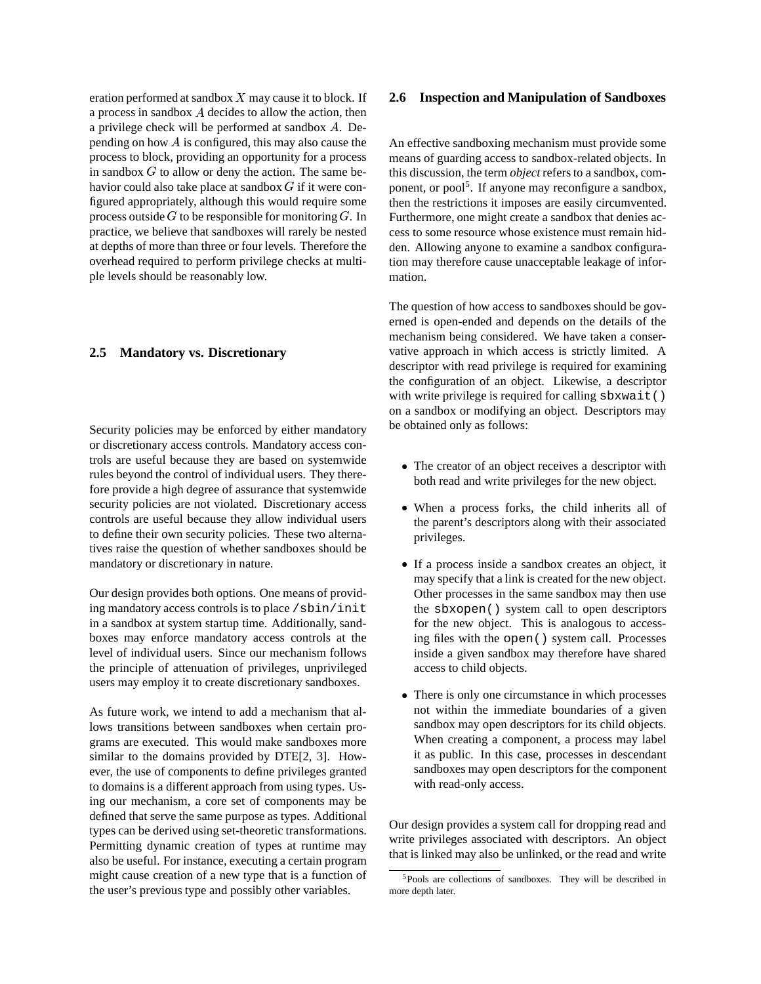eration performed at sandbox  $X$  may cause it to block. If a process in sandbox  $A$  decides to allow the action, then a privilege check will be performed at sandbox A. Depending on how  $A$  is configured, this may also cause the process to block, providing an opportunity for a process in sandbox  $G$  to allow or deny the action. The same behavior could also take place at sandbox  $G$  if it were configured appropriately, although this would require some process outside  $G$  to be responsible for monitoring  $G$ . In Furthern practice, we believe that sandboxes will rarely be nested at depths of more than three or four levels. Therefore the overhead required to perform privilege checks at multiple levels should be reasonably low.

#### **2.5 Mandatory vs. Discretionary**

Security policies may be enforced by either mandatory or discretionary access controls. Mandatory access controls are useful because they are based on systemwide rules beyond the control of individual users. They therefore provide a high degree of assurance that systemwide security policies are not violated. Discretionary access controls are useful because they allow individual users to define their own security policies. These two alternatives raise the question of whether sandboxes should be mandatory or discretionary in nature.

Our design provides both options. One means of providing mandatory access controls is to place /sbin/init in a sandbox at system startup time. Additionally, sandboxes may enforce mandatory access controls at the level of individual users. Since our mechanism follows the principle of attenuation of privileges, unprivileged users may employ it to create discretionary sandboxes.

As future work, we intend to add a mechanism that allows transitions between sandboxes when certain programs are executed. This would make sandboxes more similar to the domains provided by DTE[2, 3]. However, the use of components to define privileges granted to domains is a different approach from using types. Using our mechanism, a core set of components may be defined that serve the same purpose as types. Additional types can be derived using set-theoretic transformations. Permitting dynamic creation of types at runtime may also be useful. For instance, executing a certain program might cause creation of a new type that is a function of the user's previous type and possibly other variables.

#### **2.6 Inspection and Manipulation of Sandboxes**

An effective sandboxing mechanism must provide some means of guarding access to sandbox-related objects. In this discussion, the term *object* refers to a sandbox, component, or pool<sup>5</sup>. If anyone may reconfigure a sandbox, then the restrictions it imposes are easily circumvented. Furthermore, one might create a sandbox that denies access to some resource whose existence must remain hidden. Allowing anyone to examine a sandbox configuration may therefore cause unacceptable leakage of information.

The question of how access to sandboxes should be governed is open-ended and depends on the details of the mechanism being considered. We have taken a conservative approach in which access is strictly limited. A descriptor with read privilege is required for examining the configuration of an object. Likewise, a descriptor with write privilege is required for calling sbxwait () on a sandbox or modifying an object. Descriptors may be obtained only as follows:

- The creator of an object receives a descriptor with both read and write privileges for the new object.
- When a process forks, the child inherits all of the parent's descriptors along with their associated privileges.
- If a process inside a sandbox creates an object, it may specify that a link is created for the new object. Other processes in the same sandbox may then use the sbxopen() system call to open descriptors for the new object. This is analogous to accessing files with the open() system call. Processes inside a given sandbox may therefore have shared access to child objects.
- There is only one circumstance in which processes not within the immediate boundaries of a given sandbox may open descriptors for its child objects. When creating a component, a process may label it as public. In this case, processes in descendant sandboxes may open descriptors for the component with read-only access.

Our design provides a system call for dropping read and write privileges associated with descriptors. An object that is linked may also be unlinked, or the read and write

<sup>5</sup>Pools are collections of sandboxes. They will be described in more depth later.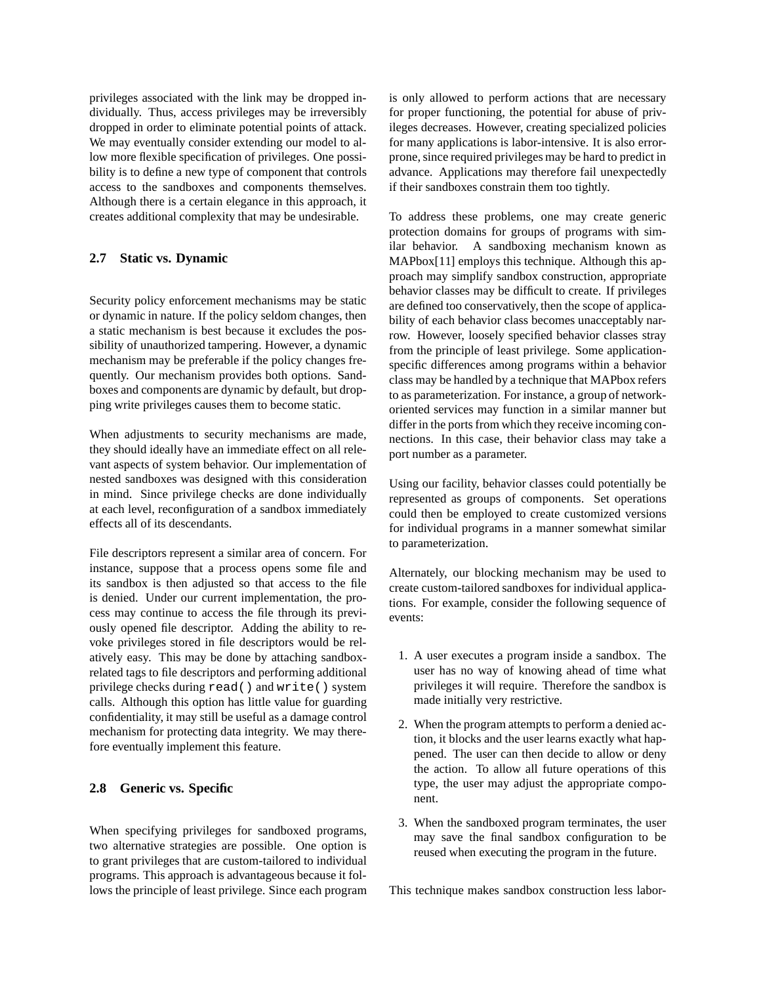privileges associated with the link may be dropped individually. Thus, access privileges may be irreversibly dropped in order to eliminate potential points of attack. We may eventually consider extending our model to allow more flexible specification of privileges. One possibility is to define a new type of component that controls access to the sandboxes and components themselves. Although there is a certain elegance in this approach, it creates additional complexity that may be undesirable.

## **2.7 Static vs. Dynamic**

Security policy enforcement mechanisms may be static or dynamic in nature. If the policy seldom changes, then a static mechanism is best because it excludes the possibility of unauthorized tampering. However, a dynamic mechanism may be preferable if the policy changes frequently. Our mechanism provides both options. Sandboxes and components are dynamic by default, but dropping write privileges causes them to become static.

When adjustments to security mechanisms are made, they should ideally have an immediate effect on all relevant aspects of system behavior. Our implementation of nested sandboxes was designed with this consideration in mind. Since privilege checks are done individually at each level, reconfiguration of a sandbox immediately effects all of its descendants.

File descriptors represent a similar area of concern. For instance, suppose that a process opens some file and its sandbox is then adjusted so that access to the file is denied. Under our current implementation, the process may continue to access the file through its previously opened file descriptor. Adding the ability to revoke privileges stored in file descriptors would be relatively easy. This may be done by attaching sandboxrelated tags to file descriptors and performing additional privilege checks during read() and write() system calls. Although this option has little value for guarding confidentiality, it may still be useful as a damage control mechanism for protecting data integrity. We may therefore eventually implement this feature.

## **2.8 Generic vs. Specific**

When specifying privileges for sandboxed programs, two alternative strategies are possible. One option is to grant privileges that are custom-tailored to individual programs. This approach is advantageous because it follows the principle of least privilege. Since each program is only allowed to perform actions that are necessary for proper functioning, the potential for abuse of privileges decreases. However, creating specialized policies for many applications is labor-intensive. It is also errorprone, since required privileges may be hard to predict in advance. Applications may therefore fail unexpectedly if their sandboxes constrain them too tightly.

To address these problems, one may create generic protection domains for groups of programs with similar behavior. A sandboxing mechanism known as MAPbox[11] employs this technique. Although this approach may simplify sandbox construction, appropriate behavior classes may be difficult to create. If privileges are defined too conservatively, then the scope of applicability of each behavior class becomes unacceptably narrow. However, loosely specified behavior classes stray from the principle of least privilege. Some applicationspecific differences among programs within a behavior class may be handled by a technique that MAPbox refers to as parameterization. For instance, a group of networkoriented services may function in a similar manner but differ in the ports from which they receive incoming connections. In this case, their behavior class may take a port number as a parameter.

Using our facility, behavior classes could potentially be represented as groups of components. Set operations could then be employed to create customized versions for individual programs in a manner somewhat similar to parameterization.

Alternately, our blocking mechanism may be used to create custom-tailored sandboxes for individual applications. For example, consider the following sequence of events:

- 1. A user executes a program inside a sandbox. The user has no way of knowing ahead of time what privileges it will require. Therefore the sandbox is made initially very restrictive.
- 2. When the program attempts to perform a denied action, it blocks and the user learns exactly what happened. The user can then decide to allow or deny the action. To allow all future operations of this type, the user may adjust the appropriate component.
- 3. When the sandboxed program terminates, the user may save the final sandbox configuration to be reused when executing the program in the future.

This technique makes sandbox construction less labor-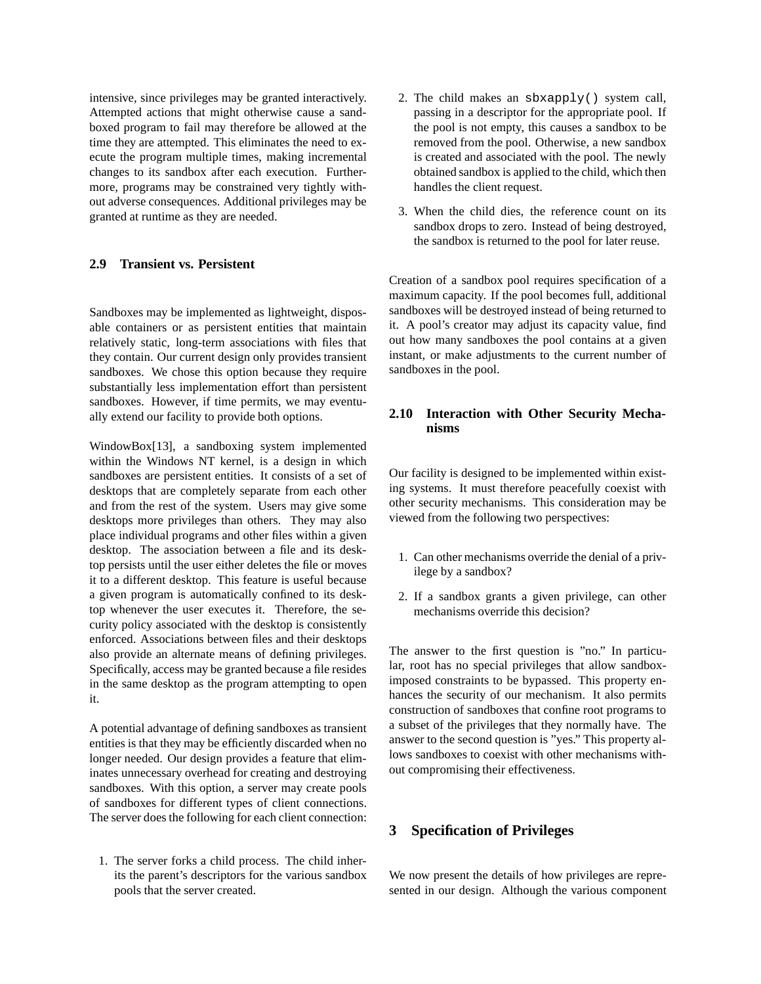intensive, since privileges may be granted interactively. Attempted actions that might otherwise cause a sandboxed program to fail may therefore be allowed at the time they are attempted. This eliminates the need to execute the program multiple times, making incremental changes to its sandbox after each execution. Furthermore, programs may be constrained very tightly without adverse consequences. Additional privileges may be granted at runtime as they are needed.

# **2.9 Transient vs. Persistent**

Sandboxes may be implemented as lightweight, disposable containers or as persistent entities that maintain relatively static, long-term associations with files that they contain. Our current design only provides transient sandboxes. We chose this option because they require substantially less implementation effort than persistent sandboxes. However, if time permits, we may eventually extend our facility to provide both options.

WindowBox[13], a sandboxing system implemented within the Windows NT kernel, is a design in which sandboxes are persistent entities. It consists of a set of desktops that are completely separate from each other and from the rest of the system. Users may give some desktops more privileges than others. They may also place individual programs and other files within a given desktop. The association between a file and its desktop persists until the user either deletes the file or moves it to a different desktop. This feature is useful because a given program is automatically confined to its desktop whenever the user executes it. Therefore, the security policy associated with the desktop is consistently enforced. Associations between files and their desktops also provide an alternate means of defining privileges. Specifically, access may be granted because a file resides in the same desktop as the program attempting to open it.

A potential advantage of defining sandboxes as transient entities is that they may be efficiently discarded when no longer needed. Our design provides a feature that eliminates unnecessary overhead for creating and destroying sandboxes. With this option, a server may create pools of sandboxes for different types of client connections. The server does the following for each client connection:

1. The server forks a child process. The child inherits the parent's descriptors for the various sandbox pools that the server created.

- 2. The child makes an sbxapply() system call, passing in a descriptor for the appropriate pool. If the pool is not empty, this causes a sandbox to be removed from the pool. Otherwise, a new sandbox is created and associated with the pool. The newly obtained sandbox is applied to the child, which then handles the client request.
- 3. When the child dies, the reference count on its sandbox drops to zero. Instead of being destroyed, the sandbox is returned to the pool for later reuse.

Creation of a sandbox pool requires specification of a maximum capacity. If the pool becomes full, additional sandboxes will be destroyed instead of being returned to it. A pool's creator may adjust its capacity value, find out how many sandboxes the pool contains at a given instant, or make adjustments to the current number of sandboxes in the pool.

## **2.10 Interaction with Other Security Mechanisms**

Our facility is designed to be implemented within existing systems. It must therefore peacefully coexist with other security mechanisms. This consideration may be viewed from the following two perspectives:

- 1. Can other mechanisms override the denial of a privilege by a sandbox?
- 2. If a sandbox grants a given privilege, can other mechanisms override this decision?

The answer to the first question is "no." In particular, root has no special privileges that allow sandboximposed constraints to be bypassed. This property enhances the security of our mechanism. It also permits construction of sandboxes that confine root programs to a subset of the privileges that they normally have. The answer to the second question is "yes." This property allows sandboxes to coexist with other mechanisms without compromising their effectiveness.

# **3 Specification of Privileges**

We now present the details of how privileges are represented in our design. Although the various component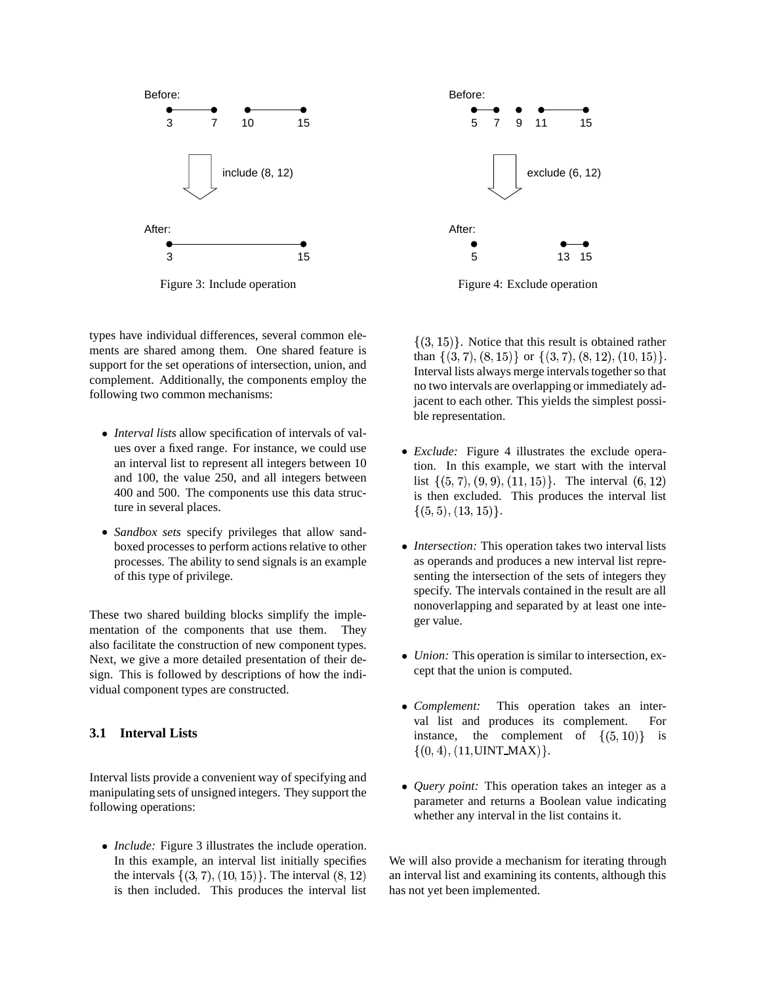

Figure 3: Include operation

types have individual differences, several common elements are shared among them. One shared feature is support for the set operations of intersection, union, and complement. Additionally, the components employ the following two common mechanisms:

- *Interval lists* allow specification of intervals of values over a fixed range. For instance, we could use an interval list to represent all integers between 10 and 100, the value 250, and all integers between 400 and 500. The components use this data structure in several places.
- *Sandbox sets* specify privileges that allow sandboxed processes to perform actions relative to other processes. The ability to send signals is an example of this type of privilege.

These two shared building blocks simplify the implementation of the components that use them. They also facilitate the construction of new component types. Next, we give a more detailed presentation of their design. This is followed by descriptions of how the individual component types are constructed.

# **3.1 Interval Lists**

Interval lists provide a convenient way of specifying and manipulating sets of unsigned integers. They support the following operations:

- *Include:* Figure 3 illustrates the include operation. In this example, an interval list initially specifies the intervals  $\{(3,7), (10,15)\}\$ . The interval  $(8,12)$  as is then included. This produces the interval list



Figure 4: Exclude operation

 $\{(3, 15)\}\.$  Notice that this result is obtained rather than  $\{(3,7), (8,15)\}\text{ or } \{(3,7), (8,12), (10,15)\}\.$ Interval lists always merge intervals together so that no two intervals are overlapping or immediately adjacent to each other. This yields the simplest possible representation.

- *Exclude:* Figure 4 illustrates the exclude operation. In this example, we start with the interval list  $\{(5,7), (9,9), (11,15)\}.$  The interval  $(6,12)$ is then excluded. This produces the interval list  $\{(5,5),(13,15)\}.$
- *Intersection:* This operation takes two interval lists as operands and produces a new interval list representing the intersection of the sets of integers they specify. The intervals contained in the result are all nonoverlapping and separated by at least one integer value.
- *Union:* This operation is similar to intersection, except that the union is computed.
- - ------This operation takes an interval list and produces its complement. For instance, the complement of  $\{(5, 10)\}\$ is  $\{(0, 4), (11, \text{UINT\_MAX})\}.$
- *Query point:* This operation takes an integer as a parameter and returns a Boolean value indicating whether any interval in the list contains it.

We will also provide a mechanism for iterating through an interval list and examining its contents, although this has not yet been implemented.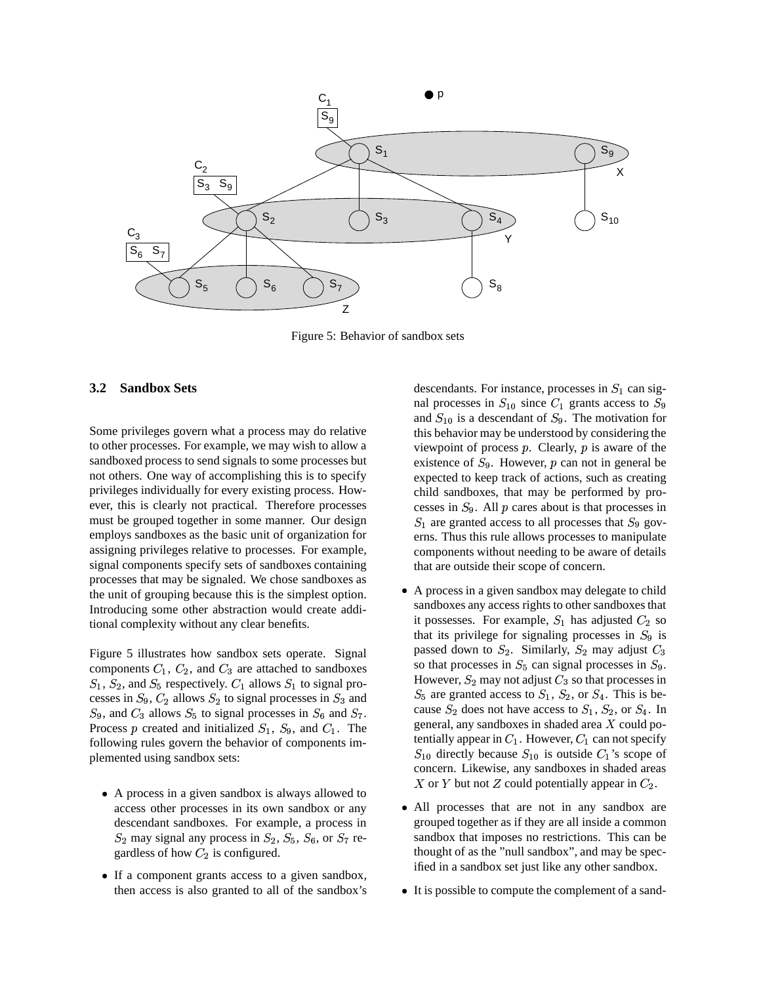

Figure 5: Behavior of sandbox sets

#### **3.2 Sandbox Sets**

Some privileges govern what a process may do relative to other processes. For example, we may wish to allow a sandboxed process to send signals to some processes but not others. One way of accomplishing this is to specify privileges individually for every existing process. However, this is clearly not practical. Therefore processes must be grouped together in some manner. Our design employs sandboxes as the basic unit of organization for assigning privileges relative to processes. For example, signal components specify sets of sandboxes containing processes that may be signaled. We chose sandboxes as the unit of grouping because this is the simplest option. Introducing some other abstraction would create additional complexity without any clear benefits.

Figure 5 illustrates how sandbox sets operate. Signal components  $C_1$ ,  $C_2$ , and  $C_3$  are attached to sandboxes  $S_1$ ,  $S_2$ , and  $S_5$  respectively.  $C_1$  allows  $S_1$  to signal processes in  $S_9$ ,  $C_2$  allows  $S_2$  to signal processes in  $S_3$  and  $S_9$ , and  $C_3$  allows  $S_5$  to signal processes in  $S_6$  and  $S_7$ . Process p created and initialized  $S_1$ ,  $S_9$ , and  $C_1$ . The following rules govern the behavior of components implemented using sandbox sets:

- A process in a given sandbox is always allowed to access other processes in its own sandbox or any descendant sandboxes. For example, a process in  $S_2$  may signal any process in  $S_2$ ,  $S_5$ ,  $S_6$ , or  $S_7$  regardless of how  $C_2$  is configured.
- If a component grants access to a given sandbox, then access is also granted to all of the sandbox's

descendants. For instance, processes in  $S_1$  can signal processes in  $S_{10}$  since  $C_1$  grants access to  $S_9$ and  $S_{10}$  is a descendant of  $S_9$ . The motivation for this behavior may be understood by considering the viewpoint of process  $p$ . Clearly,  $p$  is aware of the existence of  $S_9$ . However, p can not in general be expected to keep track of actions, such as creating child sandboxes, that may be performed by processes in  $S_9$ . All  $p$  cares about is that processes in  $S_1$  are granted access to all processes that  $S_9$  governs. Thus this rule allows processes to manipulate components without needing to be aware of details that are outside their scope of concern.

- A process in a given sandbox may delegate to child sandboxes any access rights to other sandboxes that it possesses. For example,  $S_1$  has adjusted  $C_2$  so that its privilege for signaling processes in  $S_9$  is passed down to  $S_2$ . Similarly,  $S_2$  may adjust  $C_3$ so that processes in  $S_5$  can signal processes in  $S_9$ . However,  $S_2$  may not adjust  $C_3$  so that processes in  $S_5$  are granted access to  $S_1$ ,  $S_2$ , or  $S_4$ . This is because  $S_2$  does not have access to  $S_1$ ,  $S_2$ , or  $S_4$ . In general, any sandboxes in shaded area  $X$  could potentially appear in  $C_1$ . However,  $C_1$  can not specify  $S_{10}$  directly because  $S_{10}$  is outside  $C_1$ 's scope of concern. Likewise, any sandboxes in shaded areas X or Y but not Z could potentially appear in  $C_2$ .
- All processes that are not in any sandbox are grouped together as if they are all inside a common sandbox that imposes no restrictions. This can be thought of as the "null sandbox", and may be specified in a sandbox set just like any other sandbox.
- It is possible to compute the complement of a sand-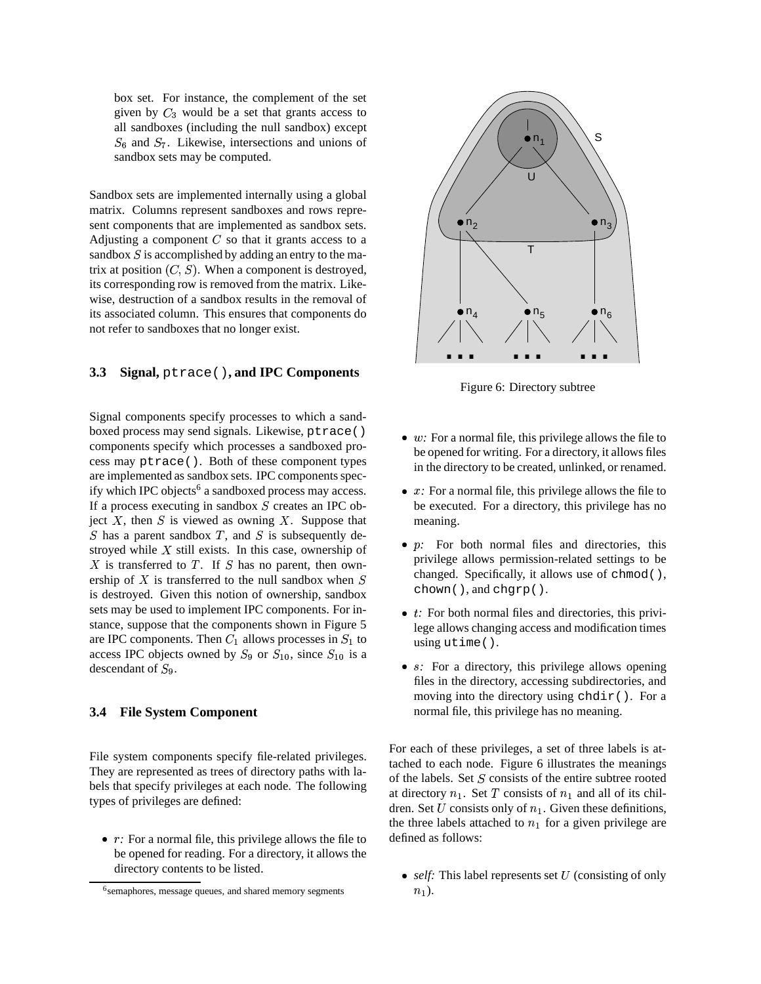box set. For instance, the complement of the set given by  $C_3$  would be a set that grants access to all sandboxes (including the null sandbox) except  $S_6$  and  $S_7$ . Likewise, intersections and unions of sandbox sets may be computed.

Sandbox sets are implemented internally using a global matrix. Columns represent sandboxes and rows represent components that are implemented as sandbox sets. Adjusting a component  $C$  so that it grants access to a sandbox  $S$  is accomplished by adding an entry to the matrix at position  $(C, S)$ . When a component is destroyed, its corresponding row is removed from the matrix. Likewise, destruction of a sandbox results in the removal of its associated column. This ensures that components do not refer to sandboxes that no longer exist.

#### **3.3 Signal,** ptrace()**, and IPC Components**

Signal components specify processes to which a sandboxed process may send signals. Likewise, ptrace() components specify which processes a sandboxed process may ptrace(). Both of these component types are implemented as sandbox sets. IPC components specify which IPC objects<sup>6</sup> a sandboxed process may access. If a process executing in sandbox  $S$  creates an IPC object  $X$ , then  $S$  is viewed as owning  $X$ . Suppose that  $S$  has a parent sandbox  $T$ , and  $S$  is subsequently destroyed while  $X$  still exists. In this case, ownership of  $X$  is transferred to  $T$ . If  $S$  has no parent, then ownership of  $X$  is transferred to the null sandbox when  $S$ is destroyed. Given this notion of ownership, sandbox sets may be used to implement IPC components. For instance, suppose that the components shown in Figure 5 are IPC components. Then  $C_1$  allows processes in  $S_1$  to access IPC objects owned by  $S_9$  or  $S_{10}$ , since  $S_{10}$  is a descendant of  $S_9$ .

#### **3.4 File System Component**

File system components specify file-related privileges. They are represented as trees of directory paths with labels that specify privileges at each node. The following types of privileges are defined:

• *r*: For a normal file, this privilege allows the file to be opened for reading. For a directory, it allows the directory contents to be listed.



Figure 6: Directory subtree

- $\bullet$  w: For a normal file, this privilege allows the file to be opened for writing. For a directory, it allows files in the directory to be created, unlinked, or renamed.
- $\bullet$   $x$ : For a normal file, this privilege allows the file to be executed. For a directory, this privilege has no meaning.
- *p*: For both normal files and directories, this privilege allows permission-related settings to be changed. Specifically, it allows use of chmod(), chown(), and chgrp().
- *t*: For both normal files and directories, this privilege allows changing access and modification times using utime().
- s: For a directory, this privilege allows opening files in the directory, accessing subdirectories, and moving into the directory using chdir(). For a normal file, this privilege has no meaning.

For each of these privileges, a set of three labels is attached to each node. Figure 6 illustrates the meanings of the labels. Set  $S$  consists of the entire subtree rooted at directory  $n_1$ . Set T consists of  $n_1$  and all of its children. Set  $U$  consists only of  $n_1$ . Given these definitions, the three labels attached to  $n_1$  for a given privilege are defined as follows:

 $\bullet$  *self*: This label represents set U (consisting of only  $n_1$ ).

<sup>&</sup>lt;sup>6</sup>semaphores, message queues, and shared memory segments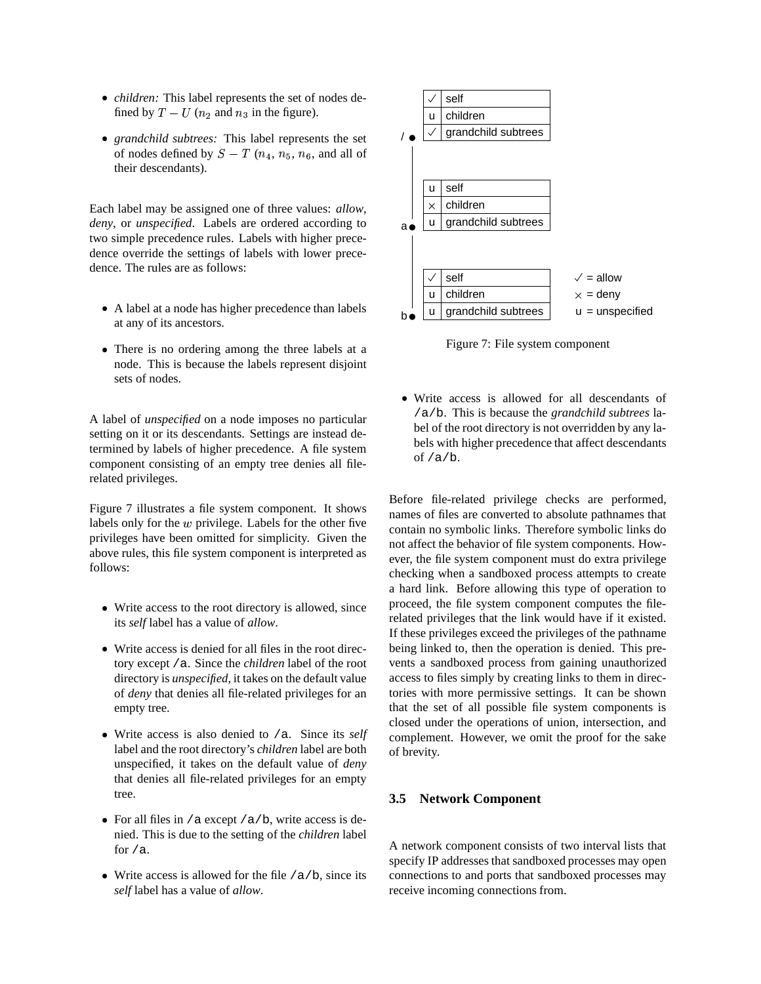- -*children:* This label represents the set of nodes defined by  $T - U$  ( $n_2$  and  $n_3$  in the figure).
- *grandchild subtrees:* This label represents the set of nodes defined by  $S-T$  ( $n_4, n_5, n_6$ , and all of their descendants).

Each label may be assigned one of three values: *allow*, *deny*, or *unspecified*. Labels are ordered according to two simple precedence rules. Labels with higher precedence override the settings of labels with lower precedence. The rules are as follows:

- A label at a node has higher precedence than labels at any of its ancestors.
- There is no ordering among the three labels at a node. This is because the labels represent disjoint sets of nodes.

A label of *unspecified* on a node imposes no particular setting on it or its descendants. Settings are instead determined by labels of higher precedence. A file system component consisting of an empty tree denies all filerelated privileges.

Figure 7 illustrates a file system component. It shows labels only for the  $w$  privilege. Labels for the other five privileges have been omitted for simplicity. Given the above rules, this file system component is interpreted as follows:

- Write access to the root directory is allowed, since its *self* label has a value of *allow*.
- Write access is denied for all files in the root directory except /a. Since the *children* label of the root directory is *unspecified*, it takes on the default value of *deny* that denies all file-related privileges for an empty tree.
- Write access is also denied to /a. Since its *self* label and the root directory's *children* label are both unspecified, it takes on the default value of *deny* that denies all file-related privileges for an empty tree.
- For all files in /a except /a/b, write access is denied. This is due to the setting of the *children* label for  $/a$ .
- Write access is allowed for the file /a/b, since its *self* label has a value of *allow*.



Figure 7: File system component

- Write access is allowed for all descendants of /a/b. This is because the *grandchild subtrees* label of the root directory is not overridden by any labels with higher precedence that affect descendants of /a/b.

Before file-related privilege checks are performed, names of files are converted to absolute pathnames that contain no symbolic links. Therefore symbolic links do not affect the behavior of file system components. However, the file system component must do extra privilege checking when a sandboxed process attempts to create a hard link. Before allowing this type of operation to proceed, the file system component computes the filerelated privileges that the link would have if it existed. If these privileges exceed the privileges of the pathname being linked to, then the operation is denied. This prevents a sandboxed process from gaining unauthorized access to files simply by creating links to them in directories with more permissive settings. It can be shown that the set of all possible file system components is closed under the operations of union, intersection, and complement. However, we omit the proof for the sake of brevity.

## **3.5 Network Component**

A network component consists of two interval lists that specify IP addresses that sandboxed processes may open connections to and ports that sandboxed processes may receive incoming connections from.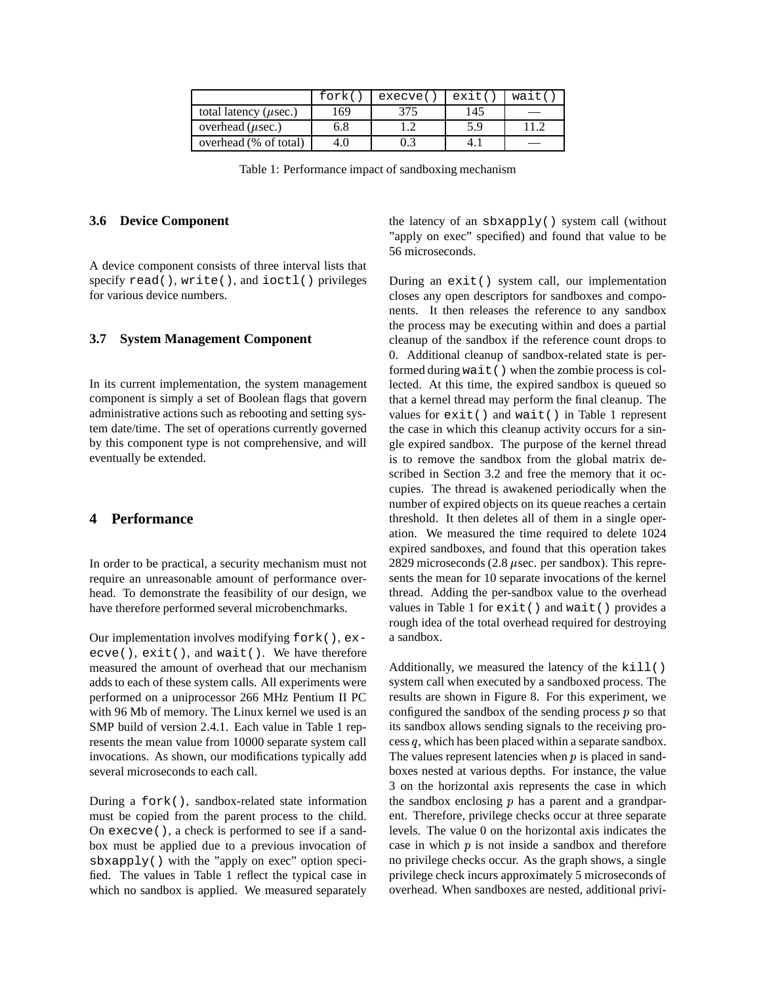|                             | fork( | execve( | exit( | wait( |
|-----------------------------|-------|---------|-------|-------|
| total latency ( $\mu$ sec.) | 169   | 375     | 145   |       |
| overhead $(\mu \sec.)$      | 6.8   |         | 5.9   |       |
| overhead (% of total)       | 4.0   |         |       |       |

Table 1: Performance impact of sandboxing mechanism

#### **3.6 Device Component**

A device component consists of three interval lists that specify read(), write(), and ioctl() privileges for various device numbers.

#### **3.7 System Management Component**

In its current implementation, the system management component is simply a set of Boolean flags that govern administrative actions such as rebooting and setting system date/time. The set of operations currently governed by this component type is not comprehensive, and will eventually be extended.

## **4 Performance**

In order to be practical, a security mechanism must not require an unreasonable amount of performance overhead. To demonstrate the feasibility of our design, we have therefore performed several microbenchmarks.

Our implementation involves modifying fork(), execve(), exit(), and wait(). We have therefore measured the amount of overhead that our mechanism adds to each of these system calls. All experiments were performed on a uniprocessor 266 MHz Pentium II PC with 96 Mb of memory. The Linux kernel we used is an SMP build of version 2.4.1. Each value in Table 1 represents the mean value from 10000 separate system call invocations. As shown, our modifications typically add several microseconds to each call.

During a fork(), sandbox-related state information must be copied from the parent process to the child. On execve(), a check is performed to see if a sandbox must be applied due to a previous invocation of sbxapply() with the "apply on exec" option specified. The values in Table 1 reflect the typical case in which no sandbox is applied. We measured separately the latency of an sbxapply() system call (without "apply on exec" specified) and found that value to be 56 microseconds.

During an exit() system call, our implementation closes any open descriptors for sandboxes and components. It then releases the reference to any sandbox the process may be executing within and does a partial cleanup of the sandbox if the reference count drops to 0. Additional cleanup of sandbox-related state is performed during wait() when the zombie process is collected. At this time, the expired sandbox is queued so that a kernel thread may perform the final cleanup. The values for exit() and wait() in Table 1 represent the case in which this cleanup activity occurs for a single expired sandbox. The purpose of the kernel thread is to remove the sandbox from the global matrix described in Section 3.2 and free the memory that it occupies. The thread is awakened periodically when the number of expired objects on its queue reaches a certain threshold. It then deletes all of them in a single operation. We measured the time required to delete 1024 expired sandboxes, and found that this operation takes 2829 microseconds  $(2.8 \mu \text{sec. per sandbox})$ . This represents the mean for 10 separate invocations of the kernel thread. Adding the per-sandbox value to the overhead values in Table 1 for exit() and wait() provides a rough idea of the total overhead required for destroying a sandbox.

Additionally, we measured the latency of the kill() system call when executed by a sandboxed process. The results are shown in Figure 8. For this experiment, we configured the sandbox of the sending process  *so that* its sandbox allows sending signals to the receiving process  $q$ , which has been placed within a separate sandbox. The values represent latencies when  $p$  is placed in sandboxes nested at various depths. For instance, the value 3 on the horizontal axis represents the case in which the sandbox enclosing  *has a parent and a grandpar*ent. Therefore, privilege checks occur at three separate levels. The value 0 on the horizontal axis indicates the case in which  $p$  is not inside a sandbox and therefore no privilege checks occur. As the graph shows, a single privilege check incurs approximately 5 microseconds of overhead. When sandboxes are nested, additional privi-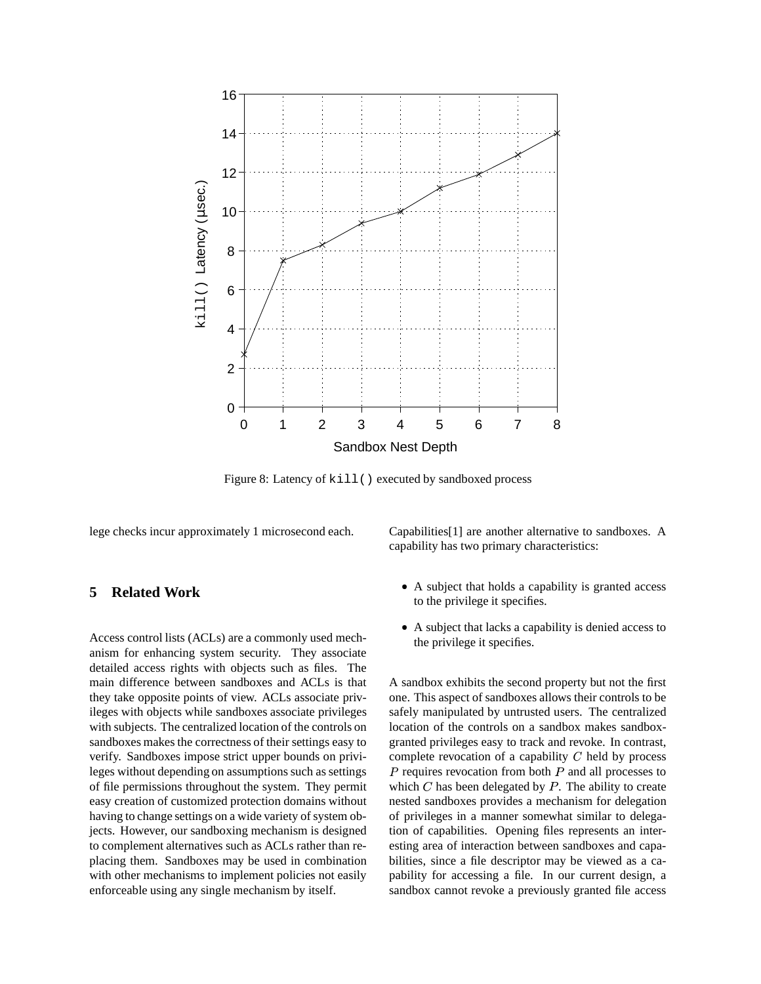

Figure 8: Latency of kill() executed by sandboxed process

lege checks incur approximately 1 microsecond each.

## **5 Related Work**

Access control lists (ACLs) are a commonly used mechanism for enhancing system security. They associate detailed access rights with objects such as files. The main difference between sandboxes and ACLs is that they take opposite points of view. ACLs associate privileges with objects while sandboxes associate privileges with subjects. The centralized location of the controls on sandboxes makes the correctness of their settings easy to verify. Sandboxes impose strict upper bounds on privileges without depending on assumptions such as settings of file permissions throughout the system. They permit easy creation of customized protection domains without having to change settings on a wide variety of system objects. However, our sandboxing mechanism is designed to complement alternatives such as ACLs rather than replacing them. Sandboxes may be used in combination with other mechanisms to implement policies not easily enforceable using any single mechanism by itself.

Capabilities[1] are another alternative to sandboxes. A capability has two primary characteristics:

- A subject that holds a capability is granted access to the privilege it specifies.
- A subject that lacks a capability is denied access to the privilege it specifies.

A sandbox exhibits the second property but not the first one. This aspect of sandboxes allows their controls to be safely manipulated by untrusted users. The centralized location of the controls on a sandbox makes sandboxgranted privileges easy to track and revoke. In contrast, complete revocation of a capability  $C$  held by process  $P$  requires revocation from both  $P$  and all processes to which  $C$  has been delegated by  $P$ . The ability to create nested sandboxes provides a mechanism for delegation of privileges in a manner somewhat similar to delegation of capabilities. Opening files represents an interesting area of interaction between sandboxes and capabilities, since a file descriptor may be viewed as a capability for accessing a file. In our current design, a sandbox cannot revoke a previously granted file access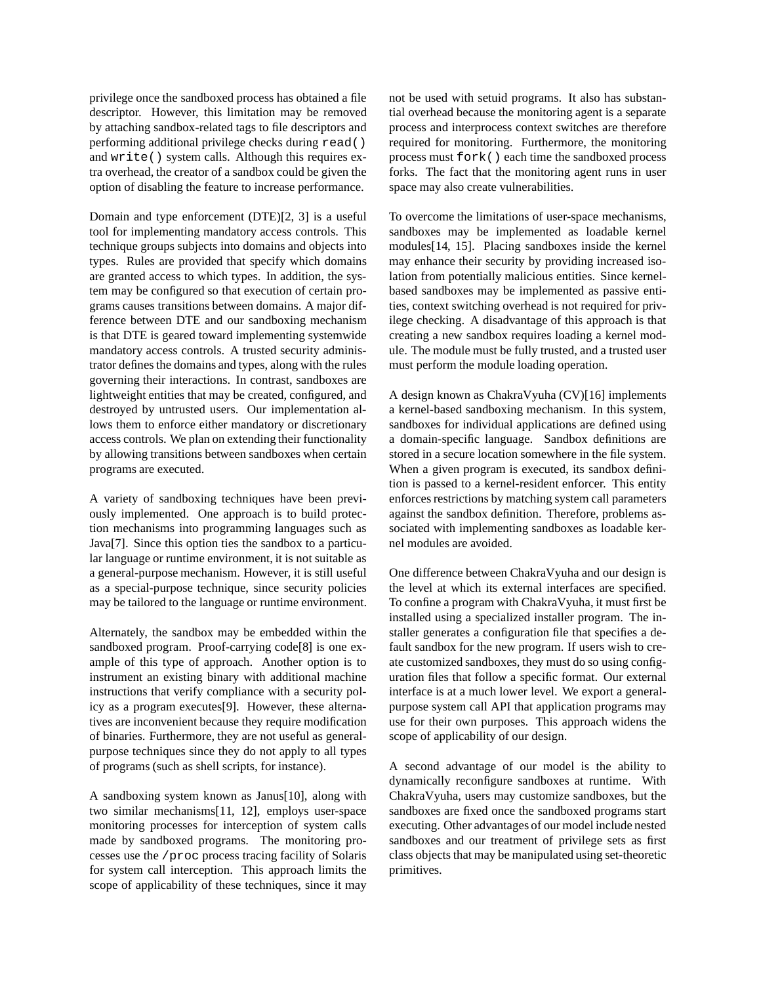privilege once the sandboxed process has obtained a file descriptor. However, this limitation may be removed by attaching sandbox-related tags to file descriptors and performing additional privilege checks during read() and write() system calls. Although this requires extra overhead, the creator of a sandbox could be given the option of disabling the feature to increase performance.

Domain and type enforcement (DTE)[2, 3] is a useful tool for implementing mandatory access controls. This technique groups subjects into domains and objects into types. Rules are provided that specify which domains are granted access to which types. In addition, the system may be configured so that execution of certain programs causes transitions between domains. A major difference between DTE and our sandboxing mechanism is that DTE is geared toward implementing systemwide mandatory access controls. A trusted security administrator defines the domains and types, along with the rules governing their interactions. In contrast, sandboxes are lightweight entities that may be created, configured, and destroyed by untrusted users. Our implementation allows them to enforce either mandatory or discretionary access controls. We plan on extending their functionality by allowing transitions between sandboxes when certain programs are executed.

A variety of sandboxing techniques have been previously implemented. One approach is to build protection mechanisms into programming languages such as Java[7]. Since this option ties the sandbox to a particular language or runtime environment, it is not suitable as a general-purpose mechanism. However, it is still useful as a special-purpose technique, since security policies may be tailored to the language or runtime environment.

Alternately, the sandbox may be embedded within the sandboxed program. Proof-carrying code[8] is one example of this type of approach. Another option is to instrument an existing binary with additional machine instructions that verify compliance with a security policy as a program executes[9]. However, these alternatives are inconvenient because they require modification of binaries. Furthermore, they are not useful as generalpurpose techniques since they do not apply to all types of programs (such as shell scripts, for instance).

A sandboxing system known as Janus[10], along with two similar mechanisms[11, 12], employs user-space monitoring processes for interception of system calls made by sandboxed programs. The monitoring processes use the /proc process tracing facility of Solaris for system call interception. This approach limits the scope of applicability of these techniques, since it may not be used with setuid programs. It also has substantial overhead because the monitoring agent is a separate process and interprocess context switches are therefore required for monitoring. Furthermore, the monitoring process must fork() each time the sandboxed process forks. The fact that the monitoring agent runs in user space may also create vulnerabilities.

To overcome the limitations of user-space mechanisms, sandboxes may be implemented as loadable kernel modules[14, 15]. Placing sandboxes inside the kernel may enhance their security by providing increased isolation from potentially malicious entities. Since kernelbased sandboxes may be implemented as passive entities, context switching overhead is not required for privilege checking. A disadvantage of this approach is that creating a new sandbox requires loading a kernel module. The module must be fully trusted, and a trusted user must perform the module loading operation.

A design known as ChakraVyuha (CV)[16] implements a kernel-based sandboxing mechanism. In this system, sandboxes for individual applications are defined using a domain-specific language. Sandbox definitions are stored in a secure location somewhere in the file system. When a given program is executed, its sandbox definition is passed to a kernel-resident enforcer. This entity enforces restrictions by matching system call parameters against the sandbox definition. Therefore, problems associated with implementing sandboxes as loadable kernel modules are avoided.

One difference between ChakraVyuha and our design is the level at which its external interfaces are specified. To confine a program with ChakraVyuha, it must first be installed using a specialized installer program. The installer generates a configuration file that specifies a default sandbox for the new program. If users wish to create customized sandboxes, they must do so using configuration files that follow a specific format. Our external interface is at a much lower level. We export a generalpurpose system call API that application programs may use for their own purposes. This approach widens the scope of applicability of our design.

A second advantage of our model is the ability to dynamically reconfigure sandboxes at runtime. With ChakraVyuha, users may customize sandboxes, but the sandboxes are fixed once the sandboxed programs start executing. Other advantages of our model include nested sandboxes and our treatment of privilege sets as first class objects that may be manipulated using set-theoretic primitives.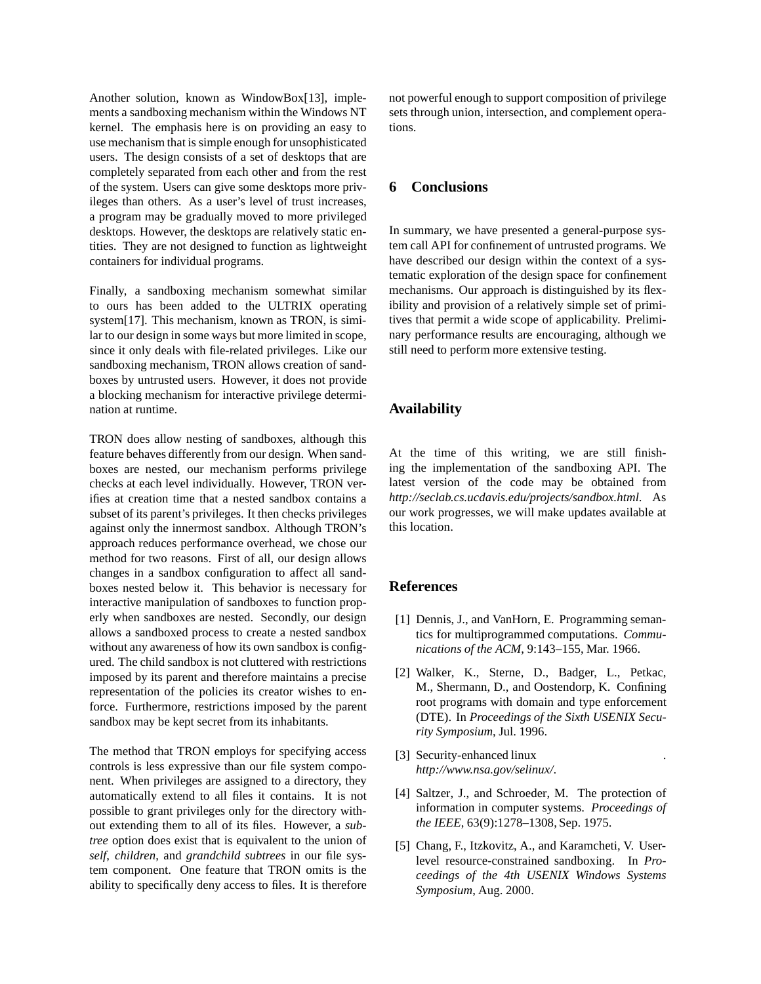Another solution, known as WindowBox[13], implements a sandboxing mechanism within the Windows NT kernel. The emphasis here is on providing an easy to use mechanism that is simple enough for unsophisticated users. The design consists of a set of desktops that are completely separated from each other and from the rest of the system. Users can give some desktops more privileges than others. As a user's level of trust increases, a program may be gradually moved to more privileged desktops. However, the desktops are relatively static entities. They are not designed to function as lightweight containers for individual programs.

Finally, a sandboxing mechanism somewhat similar to ours has been added to the ULTRIX operating system[17]. This mechanism, known as TRON, is similar to our design in some ways but more limited in scope, since it only deals with file-related privileges. Like our sandboxing mechanism, TRON allows creation of sandboxes by untrusted users. However, it does not provide a blocking mechanism for interactive privilege determination at runtime.

TRON does allow nesting of sandboxes, although this feature behaves differently from our design. When sandboxes are nested, our mechanism performs privilege checks at each level individually. However, TRON verifies at creation time that a nested sandbox contains a subset of its parent's privileges. It then checks privileges against only the innermost sandbox. Although TRON's approach reduces performance overhead, we chose our method for two reasons. First of all, our design allows changes in a sandbox configuration to affect all sandboxes nested below it. This behavior is necessary for interactive manipulation of sandboxes to function properly when sandboxes are nested. Secondly, our design allows a sandboxed process to create a nested sandbox without any awareness of how its own sandbox is configured. The child sandbox is not cluttered with restrictions imposed by its parent and therefore maintains a precise representation of the policies its creator wishes to enforce. Furthermore, restrictions imposed by the parent sandbox may be kept secret from its inhabitants.

The method that TRON employs for specifying access controls is less expressive than our file system component. When privileges are assigned to a directory, they automatically extend to all files it contains. It is not possible to grant privileges only for the directory without extending them to all of its files. However, a *subtree* option does exist that is equivalent to the union of *self*, *children*, and *grandchild subtrees* in our file system component. One feature that TRON omits is the ability to specifically deny access to files. It is therefore not powerful enough to support composition of privilege sets through union, intersection, and complement operations.

## **6 Conclusions**

In summary, we have presented a general-purpose system call API for confinement of untrusted programs. We have described our design within the context of a systematic exploration of the design space for confinement mechanisms. Our approach is distinguished by its flexibility and provision of a relatively simple set of primitives that permit a wide scope of applicability. Preliminary performance results are encouraging, although we still need to perform more extensive testing.

## **Availability**

At the time of this writing, we are still finishing the implementation of the sandboxing API. The latest version of the code may be obtained from *http://seclab.cs.ucdavis.edu/projects/sandbox.html*. As our work progresses, we will make updates available at this location.

## **References**

- [1] Dennis, J., and VanHorn, E. Programming semantics for multiprogrammed computations. *Communications of the ACM*, 9:143–155, Mar. 1966.
- [2] Walker, K., Sterne, D., Badger, L., Petkac, M., Shermann, D., and Oostendorp, K. Confining root programs with domain and type enforcement (DTE). In *Proceedings of the Sixth USENIX Security Symposium*, Jul. 1996.
- [3] Security-enhanced linux *http://www.nsa.gov/selinux/*.
- [4] Saltzer, J., and Schroeder, M. The protection of information in computer systems. *Proceedings of the IEEE*, 63(9):1278–1308, Sep. 1975.
- [5] Chang, F., Itzkovitz, A., and Karamcheti, V. Userlevel resource-constrained sandboxing. In *Proceedings of the 4th USENIX Windows Systems Symposium*, Aug. 2000.